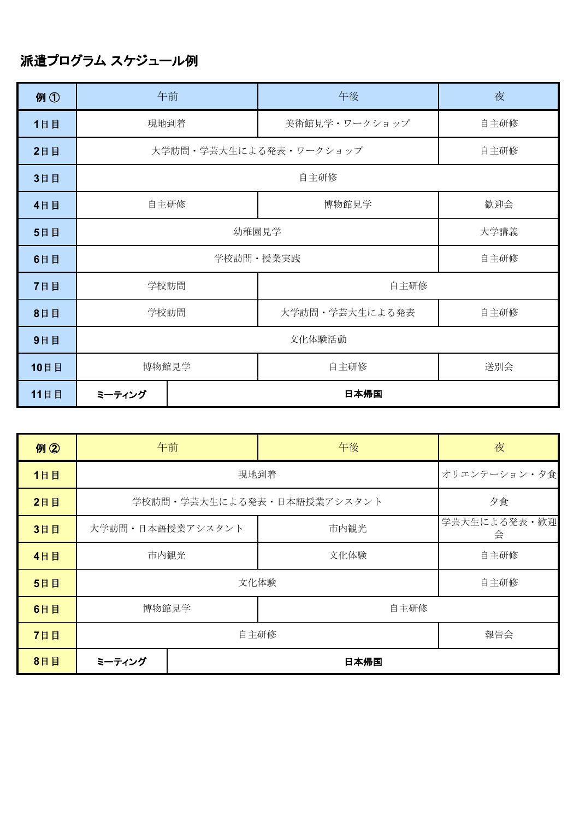## 派遣プログラム スケジュール例

| 例①   |                   | 午前                     | 午後             | 夜    |  |
|------|-------------------|------------------------|----------------|------|--|
| 1日目  | 現地到着              |                        | 美術館見学・ワークショップ  | 自主研修 |  |
| 2日目  |                   | 大学訪問・学芸大生による発表・ワークショップ | 自主研修           |      |  |
| 3日目  |                   | 自主研修                   |                |      |  |
| 4日目  | 自主研修              |                        | 博物館見学          | 歓迎会  |  |
| 5日目  | 幼稚園見学<br>大学講義     |                        |                |      |  |
| 6日目  | 学校訪問・授業実践<br>自主研修 |                        |                |      |  |
| 7日目  | 学校訪問              |                        | 自主研修           |      |  |
| 8日目  | 学校訪問              |                        | 大学訪問・学芸大生による発表 | 自主研修 |  |
| 9日目  | 文化体験活動            |                        |                |      |  |
| 10日目 | 博物館見学             |                        | 自主研修           | 送別会  |  |
| 11日目 | ミーティング            | 日本帰国                   |                |      |  |

| 例②  |                  | 午前                         | 午後           | 夜                 |
|-----|------------------|----------------------------|--------------|-------------------|
| 1日目 |                  | 現地到着                       | オリエンテーション・夕食 |                   |
| 2日目 |                  | 学校訪問・学芸大生による発表・日本語授業アシスタント |              | 夕食                |
| 3日目 | 大学訪問・日本語授業アシスタント |                            | 市内観光         | 学芸大生による発表・歓迎<br>会 |
| 4日目 | 市内観光             |                            | 文化体験         | 自主研修              |
| 5日目 |                  | 文化体験                       | 自主研修         |                   |
| 6日目 | 博物館見学            |                            | 自主研修         |                   |
| 7日目 | 自主研修             |                            |              | 報告会               |
| 8日目 | ミーティング           | 日本帰国                       |              |                   |